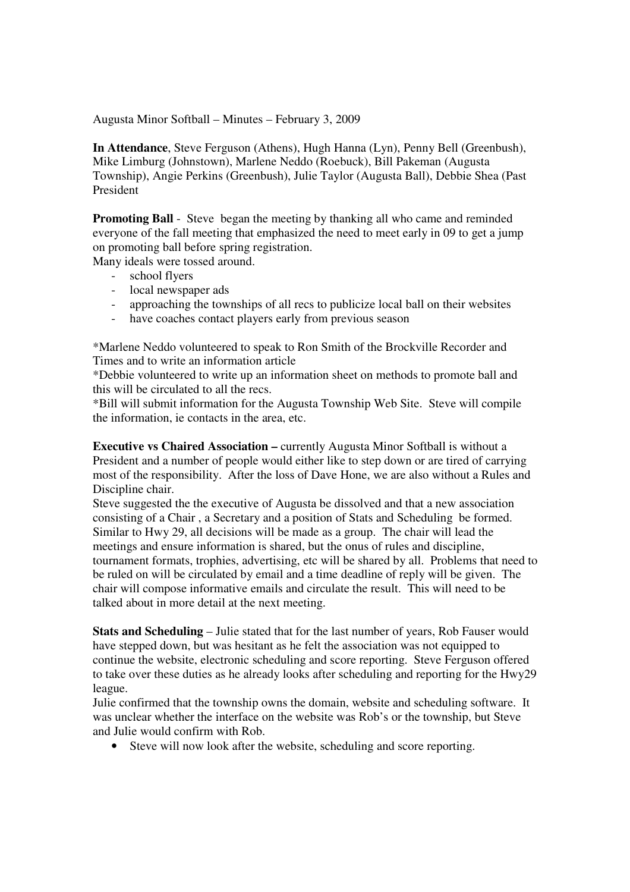Augusta Minor Softball – Minutes – February 3, 2009

**In Attendance**, Steve Ferguson (Athens), Hugh Hanna (Lyn), Penny Bell (Greenbush), Mike Limburg (Johnstown), Marlene Neddo (Roebuck), Bill Pakeman (Augusta Township), Angie Perkins (Greenbush), Julie Taylor (Augusta Ball), Debbie Shea (Past President

**Promoting Ball** - Steve began the meeting by thanking all who came and reminded everyone of the fall meeting that emphasized the need to meet early in 09 to get a jump on promoting ball before spring registration.

Many ideals were tossed around.

- school flyers
- local newspaper ads
- approaching the townships of all recs to publicize local ball on their websites
- have coaches contact players early from previous season

\*Marlene Neddo volunteered to speak to Ron Smith of the Brockville Recorder and Times and to write an information article

\*Debbie volunteered to write up an information sheet on methods to promote ball and this will be circulated to all the recs.

\*Bill will submit information for the Augusta Township Web Site. Steve will compile the information, ie contacts in the area, etc.

**Executive vs Chaired Association – currently Augusta Minor Softball is without a** President and a number of people would either like to step down or are tired of carrying most of the responsibility. After the loss of Dave Hone, we are also without a Rules and Discipline chair.

Steve suggested the the executive of Augusta be dissolved and that a new association consisting of a Chair , a Secretary and a position of Stats and Scheduling be formed. Similar to Hwy 29, all decisions will be made as a group. The chair will lead the meetings and ensure information is shared, but the onus of rules and discipline, tournament formats, trophies, advertising, etc will be shared by all. Problems that need to be ruled on will be circulated by email and a time deadline of reply will be given. The chair will compose informative emails and circulate the result. This will need to be talked about in more detail at the next meeting.

**Stats and Scheduling** – Julie stated that for the last number of years, Rob Fauser would have stepped down, but was hesitant as he felt the association was not equipped to continue the website, electronic scheduling and score reporting. Steve Ferguson offered to take over these duties as he already looks after scheduling and reporting for the Hwy29 league.

Julie confirmed that the township owns the domain, website and scheduling software. It was unclear whether the interface on the website was Rob's or the township, but Steve and Julie would confirm with Rob.

• Steve will now look after the website, scheduling and score reporting.